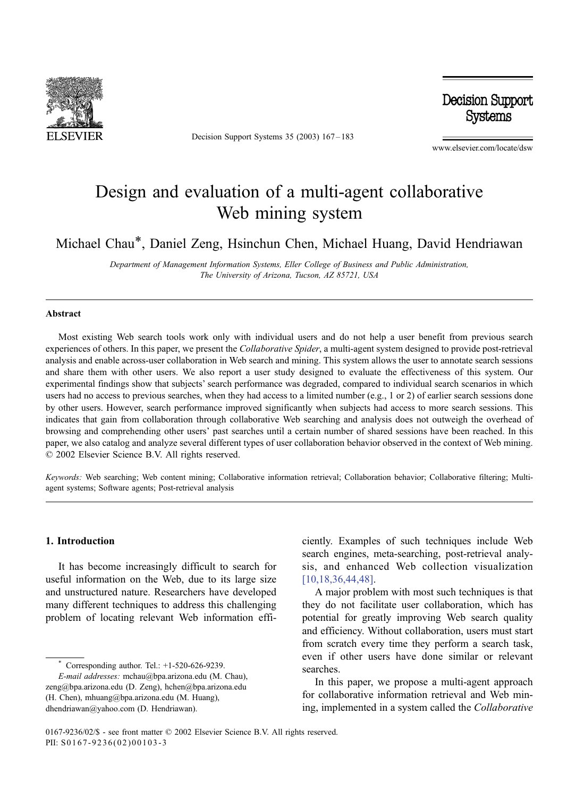

Decision Support Systems 35 (2003) 167 – 183

**Decision Support Systems** 

www.elsevier.com/locate/dsw

# Design and evaluation of a multi-agent collaborative Web mining system

Michael Chau\*, Daniel Zeng, Hsinchun Chen, Michael Huang, David Hendriawan

Department of Management Information Systems, Eller College of Business and Public Administration, The University of Arizona, Tucson, AZ 85721, USA

#### Abstract

Most existing Web search tools work only with individual users and do not help a user benefit from previous search experiences of others. In this paper, we present the Collaborative Spider, a multi-agent system designed to provide post-retrieval analysis and enable across-user collaboration in Web search and mining. This system allows the user to annotate search sessions and share them with other users. We also report a user study designed to evaluate the effectiveness of this system. Our experimental findings show that subjects' search performance was degraded, compared to individual search scenarios in which users had no access to previous searches, when they had access to a limited number (e.g., 1 or 2) of earlier search sessions done by other users. However, search performance improved significantly when subjects had access to more search sessions. This indicates that gain from collaboration through collaborative Web searching and analysis does not outweigh the overhead of browsing and comprehending other users' past searches until a certain number of shared sessions have been reached. In this paper, we also catalog and analyze several different types of user collaboration behavior observed in the context of Web mining.  $© 2002 Elsevier Science B.V. All rights reserved.$ 

Keywords: Web searching; Web content mining; Collaborative information retrieval; Collaboration behavior; Collaborative filtering; Multiagent systems; Software agents; Post-retrieval analysis

## 1. Introduction

It has become increasingly difficult to search for useful information on the Web, due to its large size and unstructured nature. Researchers have developed many different techniques to address this challenging problem of locating relevant Web information efficiently. Examples of such techniques include Web search engines, meta-searching, post-retrieval analysis, and enhanced Web collection visualization [\[10,18,36,44,48\].](#page-15-0)

A major problem with most such techniques is that they do not facilitate user collaboration, which has potential for greatly improving Web search quality and efficiency. Without collaboration, users must start from scratch every time they perform a search task, even if other users have done similar or relevant searches.

In this paper, we propose a multi-agent approach for collaborative information retrieval and Web mining, implemented in a system called the Collaborative

Corresponding author. Tel.:  $+1-520-626-9239$ .

E-mail addresses: mchau@bpa.arizona.edu (M. Chau), zeng@bpa.arizona.edu (D. Zeng), hchen@bpa.arizona.edu (H. Chen), mhuang@bpa.arizona.edu (M. Huang), dhendriawan@yahoo.com (D. Hendriawan).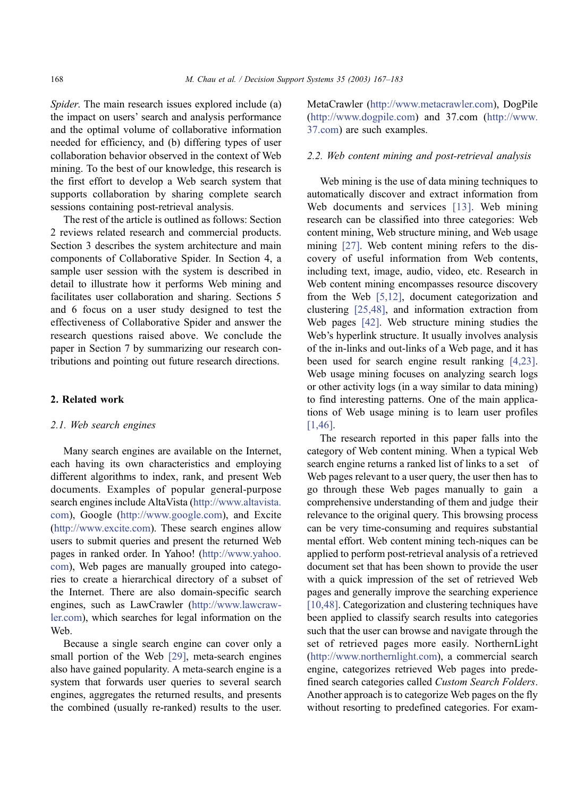Spider. The main research issues explored include (a) the impact on users' search and analysis performance and the optimal volume of collaborative information needed for efficiency, and (b) differing types of user collaboration behavior observed in the context of Web mining. To the best of our knowledge, this research is the first effort to develop a Web search system that supports collaboration by sharing complete search sessions containing post-retrieval analysis.

The rest of the article is outlined as follows: Section 2 reviews related research and commercial products. Section 3 describes the system architecture and main components of Collaborative Spider. In Section 4, a sample user session with the system is described in detail to illustrate how it performs Web mining and facilitates user collaboration and sharing. Sections 5 and 6 focus on a user study designed to test the effectiveness of Collaborative Spider and answer the research questions raised above. We conclude the paper in Section 7 by summarizing our research contributions and pointing out future research directions.

# 2. Related work

# 2.1. Web search engines

Many search engines are available on the Internet, each having its own characteristics and employing different algorithms to index, rank, and present Web documents. Examples of popular general-purpose search engines include AltaVista ([http://www.altavista.]( http:\\www.altavista.com ) com), Google ([http://www.google.com\)]( http:\\www.google.com ), and Excite ([http://www.excite.com\)]( http:\\www.excite.com ). These search engines allow users to submit queries and present the returned Web pages in ranked order. In Yahoo! ([http://www.yahoo.]( http:\\www.yahoo.com ) com), Web pages are manually grouped into categories to create a hierarchical directory of a subset of the Internet. There are also domain-specific search engines, such as LawCrawler ([http://www.lawcraw]( http:\\www.lawcrawler.com )ler.com), which searches for legal information on the Web.

Because a single search engine can cover only a small portion of the Web [\[29\],](#page-15-0) meta-search engines also have gained popularity. A meta-search engine is a system that forwards user queries to several search engines, aggregates the returned results, and presents the combined (usually re-ranked) results to the user.

MetaCrawler ([http://www.metacrawler.com\)]( http:\\www.metacrawler.com ), DogPile ([http://www.dogpile.com\)]( http:\\www.dogpile.com ) and 37.com ([http://www.]( http:\\www.37.com ) 37.com) are such examples.

# 2.2. Web content mining and post-retrieval analysis

Web mining is the use of data mining techniques to automatically discover and extract information from Web documents and services [\[13\].](#page-15-0) Web mining research can be classified into three categories: Web content mining, Web structure mining, and Web usage mining [\[27\].](#page-15-0) Web content mining refers to the discovery of useful information from Web contents, including text, image, audio, video, etc. Research in Web content mining encompasses resource discovery from the Web [\[5,12\],](#page-15-0) document categorization and clustering [\[25,48\],](#page-15-0) and information extraction from Web pages [\[42\].](#page-16-0) Web structure mining studies the Web's hyperlink structure. It usually involves analysis of the in-links and out-links of a Web page, and it has been used for search engine result ranking [\[4,23\].](#page-15-0) Web usage mining focuses on analyzing search logs or other activity logs (in a way similar to data mining) to find interesting patterns. One of the main applications of Web usage mining is to learn user profiles [\[1,46\].](#page-14-0)

The research reported in this paper falls into the category of Web content mining. When a typical Web search engine returns a ranked list of links to a set of Web pages relevant to a user query, the user then has to go through these Web pages manually to gain a comprehensive understanding of them and judge their relevance to the original query. This browsing process can be very time-consuming and requires substantial mental effort. Web content mining tech-niques can be applied to perform post-retrieval analysis of a retrieved document set that has been shown to provide the user with a quick impression of the set of retrieved Web pages and generally improve the searching experience [\[10,48\].](#page-15-0) Categorization and clustering techniques have been applied to classify search results into categories such that the user can browse and navigate through the set of retrieved pages more easily. NorthernLight ([http://www.northernlight.com\)]( http:\\www.northernlight.com ), a commercial search engine, categorizes retrieved Web pages into predefined search categories called Custom Search Folders. Another approach is to categorize Web pages on the fly without resorting to predefined categories. For exam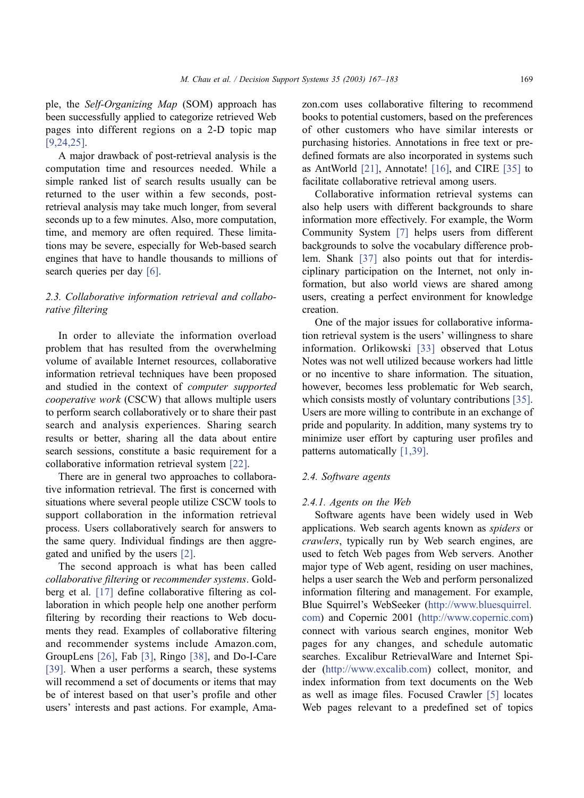ple, the Self-Organizing Map (SOM) approach has been successfully applied to categorize retrieved Web pages into different regions on a 2-D topic map [\[9,24,25\].](#page-15-0)

A major drawback of post-retrieval analysis is the computation time and resources needed. While a simple ranked list of search results usually can be returned to the user within a few seconds, postretrieval analysis may take much longer, from several seconds up to a few minutes. Also, more computation, time, and memory are often required. These limitations may be severe, especially for Web-based search engines that have to handle thousands to millions of search queries per day [\[6\].](#page-15-0)

# 2.3. Collaborative information retrieval and collaborative filtering

In order to alleviate the information overload problem that has resulted from the overwhelming volume of available Internet resources, collaborative information retrieval techniques have been proposed and studied in the context of computer supported cooperative work (CSCW) that allows multiple users to perform search collaboratively or to share their past search and analysis experiences. Sharing search results or better, sharing all the data about entire search sessions, constitute a basic requirement for a collaborative information retrieval system [\[22\].](#page-15-0)

There are in general two approaches to collaborative information retrieval. The first is concerned with situations where several people utilize CSCW tools to support collaboration in the information retrieval process. Users collaboratively search for answers to the same query. Individual findings are then aggregated and unified by the users [\[2\].](#page-14-0)

The second approach is what has been called collaborative filtering or recommender systems. Goldberg et al. [\[17\]](#page-15-0) define collaborative filtering as collaboration in which people help one another perform filtering by recording their reactions to Web documents they read. Examples of collaborative filtering and recommender systems include Amazon.com, GroupLens [\[26\],](#page-15-0) Fab [\[3\],](#page-15-0) Ringo [\[38\],](#page-16-0) and Do-I-Care [\[39\].](#page-16-0) When a user performs a search, these systems will recommend a set of documents or items that may be of interest based on that user's profile and other users' interests and past actions. For example, Amazon.com uses collaborative filtering to recommend books to potential customers, based on the preferences of other customers who have similar interests or purchasing histories. Annotations in free text or predefined formats are also incorporated in systems such as AntWorld [\[21\],](#page-15-0) Annotate! [\[16\],](#page-15-0) and CIRE [\[35\]](#page-15-0) to facilitate collaborative retrieval among users.

Collaborative information retrieval systems can also help users with different backgrounds to share information more effectively. For example, the Worm Community System [\[7\]](#page-15-0) helps users from different backgrounds to solve the vocabulary difference problem. Shank [\[37\]](#page-15-0) also points out that for interdisciplinary participation on the Internet, not only information, but also world views are shared among users, creating a perfect environment for knowledge creation.

One of the major issues for collaborative information retrieval system is the users' willingness to share information. Orlikowski [\[33\]](#page-15-0) observed that Lotus Notes was not well utilized because workers had little or no incentive to share information. The situation, however, becomes less problematic for Web search, which consists mostly of voluntary contributions [\[35\].](#page-15-0) Users are more willing to contribute in an exchange of pride and popularity. In addition, many systems try to minimize user effort by capturing user profiles and patterns automatically [\[1,39\].](#page-14-0)

### 2.4. Software agents

#### 2.4.1. Agents on the Web

Software agents have been widely used in Web applications. Web search agents known as spiders or crawlers, typically run by Web search engines, are used to fetch Web pages from Web servers. Another major type of Web agent, residing on user machines, helps a user search the Web and perform personalized information filtering and management. For example, Blue Squirrel's WebSeeker ([http://www.bluesquirrel.]( http:\\www.bluesquirrel.com ) com) and Copernic 2001 ([http://www.copernic.com\)]( http:\\www.copernic.com ) connect with various search engines, monitor Web pages for any changes, and schedule automatic searches. Excalibur RetrievalWare and Internet Spider ([http://www.excalib.com\)]( http:\\www.excalib.com ) collect, monitor, and index information from text documents on the Web as well as image files. Focused Crawler [\[5\]](#page-15-0) locates Web pages relevant to a predefined set of topics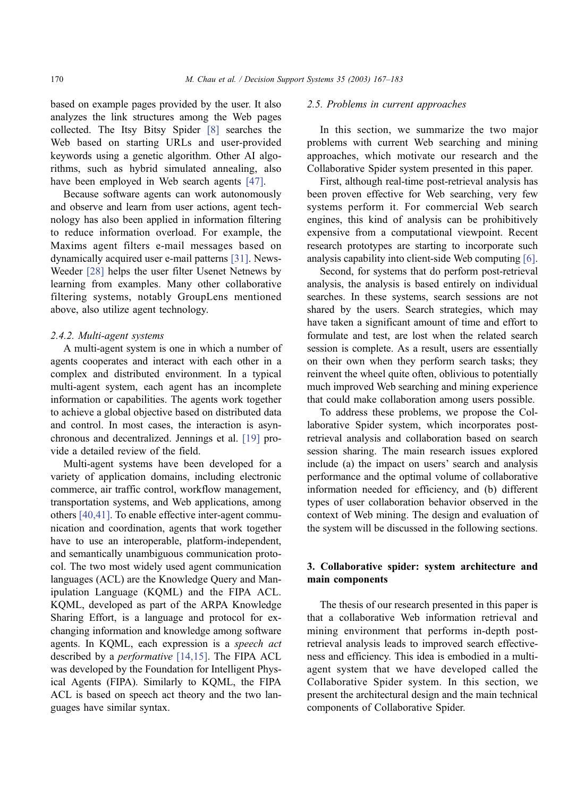based on example pages provided by the user. It also analyzes the link structures among the Web pages collected. The Itsy Bitsy Spider [\[8\]](#page-15-0) searches the Web based on starting URLs and user-provided keywords using a genetic algorithm. Other AI algorithms, such as hybrid simulated annealing, also have been employed in Web search agents [\[47\].](#page-16-0)

Because software agents can work autonomously and observe and learn from user actions, agent technology has also been applied in information filtering to reduce information overload. For example, the Maxims agent filters e-mail messages based on dynamically acquired user e-mail patterns [\[31\].](#page-15-0) News-Weeder [\[28\]](#page-15-0) helps the user filter Usenet Netnews by learning from examples. Many other collaborative filtering systems, notably GroupLens mentioned above, also utilize agent technology.

## 2.4.2. Multi-agent systems

A multi-agent system is one in which a number of agents cooperates and interact with each other in a complex and distributed environment. In a typical multi-agent system, each agent has an incomplete information or capabilities. The agents work together to achieve a global objective based on distributed data and control. In most cases, the interaction is asynchronous and decentralized. Jennings et al. [\[19\]](#page-15-0) provide a detailed review of the field.

Multi-agent systems have been developed for a variety of application domains, including electronic commerce, air traffic control, workflow management, transportation systems, and Web applications, among others [\[40,41\].](#page-16-0) To enable effective inter-agent communication and coordination, agents that work together have to use an interoperable, platform-independent, and semantically unambiguous communication protocol. The two most widely used agent communication languages (ACL) are the Knowledge Query and Manipulation Language (KQML) and the FIPA ACL. KQML, developed as part of the ARPA Knowledge Sharing Effort, is a language and protocol for exchanging information and knowledge among software agents. In KQML, each expression is a speech act described by a performative [\[14,15\].](#page-15-0) The FIPA ACL was developed by the Foundation for Intelligent Physical Agents (FIPA). Similarly to KQML, the FIPA ACL is based on speech act theory and the two languages have similar syntax.

# 2.5. Problems in current approaches

In this section, we summarize the two major problems with current Web searching and mining approaches, which motivate our research and the Collaborative Spider system presented in this paper.

First, although real-time post-retrieval analysis has been proven effective for Web searching, very few systems perform it. For commercial Web search engines, this kind of analysis can be prohibitively expensive from a computational viewpoint. Recent research prototypes are starting to incorporate such analysis capability into client-side Web computing [\[6\].](#page-15-0)

Second, for systems that do perform post-retrieval analysis, the analysis is based entirely on individual searches. In these systems, search sessions are not shared by the users. Search strategies, which may have taken a significant amount of time and effort to formulate and test, are lost when the related search session is complete. As a result, users are essentially on their own when they perform search tasks; they reinvent the wheel quite often, oblivious to potentially much improved Web searching and mining experience that could make collaboration among users possible.

To address these problems, we propose the Collaborative Spider system, which incorporates postretrieval analysis and collaboration based on search session sharing. The main research issues explored include (a) the impact on users' search and analysis performance and the optimal volume of collaborative information needed for efficiency, and (b) different types of user collaboration behavior observed in the context of Web mining. The design and evaluation of the system will be discussed in the following sections.

# 3. Collaborative spider: system architecture and main components

The thesis of our research presented in this paper is that a collaborative Web information retrieval and mining environment that performs in-depth postretrieval analysis leads to improved search effectiveness and efficiency. This idea is embodied in a multiagent system that we have developed called the Collaborative Spider system. In this section, we present the architectural design and the main technical components of Collaborative Spider.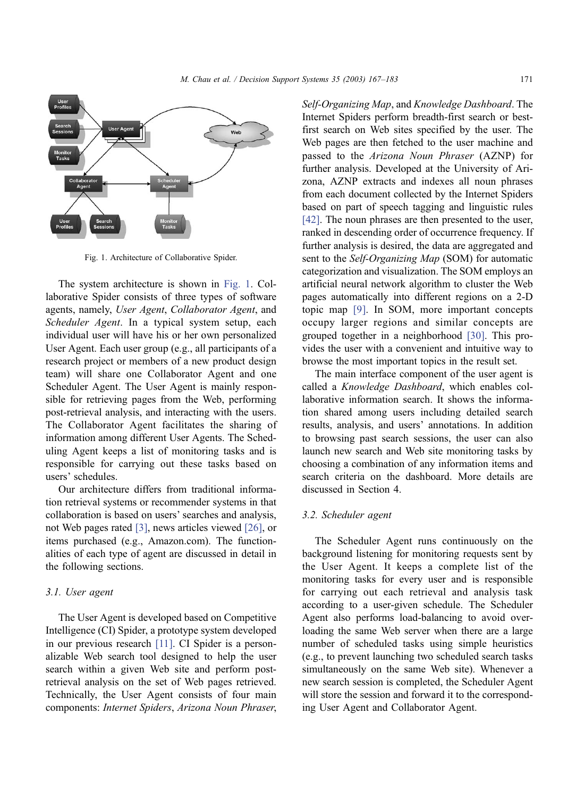

Fig. 1. Architecture of Collaborative Spider.

The system architecture is shown in Fig. 1. Collaborative Spider consists of three types of software agents, namely, User Agent, Collaborator Agent, and Scheduler Agent. In a typical system setup, each individual user will have his or her own personalized User Agent. Each user group (e.g., all participants of a research project or members of a new product design team) will share one Collaborator Agent and one Scheduler Agent. The User Agent is mainly responsible for retrieving pages from the Web, performing post-retrieval analysis, and interacting with the users. The Collaborator Agent facilitates the sharing of information among different User Agents. The Scheduling Agent keeps a list of monitoring tasks and is responsible for carrying out these tasks based on users' schedules.

Our architecture differs from traditional information retrieval systems or recommender systems in that collaboration is based on users' searches and analysis, not Web pages rated [\[3\],](#page-15-0) news articles viewed [\[26\],](#page-15-0) or items purchased (e.g., Amazon.com). The functionalities of each type of agent are discussed in detail in the following sections.

# 3.1. User agent

The User Agent is developed based on Competitive Intelligence (CI) Spider, a prototype system developed in our previous research [\[11\].](#page-15-0) CI Spider is a personalizable Web search tool designed to help the user search within a given Web site and perform postretrieval analysis on the set of Web pages retrieved. Technically, the User Agent consists of four main components: Internet Spiders, Arizona Noun Phraser,

Self-Organizing Map, and Knowledge Dashboard. The Internet Spiders perform breadth-first search or bestfirst search on Web sites specified by the user. The Web pages are then fetched to the user machine and passed to the Arizona Noun Phraser (AZNP) for further analysis. Developed at the University of Arizona, AZNP extracts and indexes all noun phrases from each document collected by the Internet Spiders based on part of speech tagging and linguistic rules [\[42\].](#page-16-0) The noun phrases are then presented to the user, ranked in descending order of occurrence frequency. If further analysis is desired, the data are aggregated and sent to the Self-Organizing Map (SOM) for automatic categorization and visualization. The SOM employs an artificial neural network algorithm to cluster the Web pages automatically into different regions on a 2-D topic map [\[9\].](#page-15-0) In SOM, more important concepts occupy larger regions and similar concepts are grouped together in a neighborhood [\[30\].](#page-15-0) This provides the user with a convenient and intuitive way to browse the most important topics in the result set.

The main interface component of the user agent is called a Knowledge Dashboard, which enables collaborative information search. It shows the information shared among users including detailed search results, analysis, and users' annotations. In addition to browsing past search sessions, the user can also launch new search and Web site monitoring tasks by choosing a combination of any information items and search criteria on the dashboard. More details are discussed in Section 4.

#### 3.2. Scheduler agent

The Scheduler Agent runs continuously on the background listening for monitoring requests sent by the User Agent. It keeps a complete list of the monitoring tasks for every user and is responsible for carrying out each retrieval and analysis task according to a user-given schedule. The Scheduler Agent also performs load-balancing to avoid overloading the same Web server when there are a large number of scheduled tasks using simple heuristics (e.g., to prevent launching two scheduled search tasks simultaneously on the same Web site). Whenever a new search session is completed, the Scheduler Agent will store the session and forward it to the corresponding User Agent and Collaborator Agent.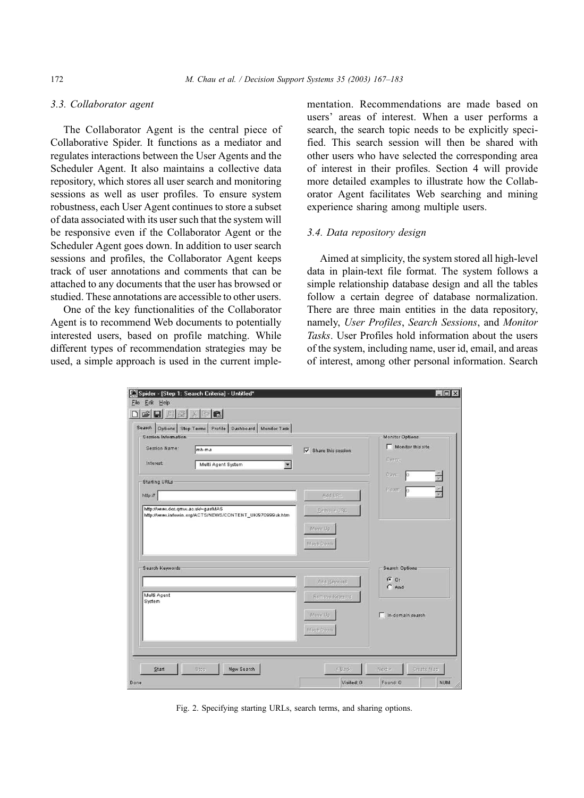# <span id="page-5-0"></span>3.3. Collaborator agent

The Collaborator Agent is the central piece of Collaborative Spider. It functions as a mediator and regulates interactions between the User Agents and the Scheduler Agent. It also maintains a collective data repository, which stores all user search and monitoring sessions as well as user profiles. To ensure system robustness, each User Agent continues to store a subset of data associated with its user such that the system will be responsive even if the Collaborator Agent or the Scheduler Agent goes down. In addition to user search sessions and profiles, the Collaborator Agent keeps track of user annotations and comments that can be attached to any documents that the user has browsed or studied. These annotations are accessible to other users.

One of the key functionalities of the Collaborator Agent is to recommend Web documents to potentially interested users, based on profile matching. While different types of recommendation strategies may be used, a simple approach is used in the current implementation. Recommendations are made based on users' areas of interest. When a user performs a search, the search topic needs to be explicitly specified. This search session will then be shared with other users who have selected the corresponding area of interest in their profiles. Section 4 will provide more detailed examples to illustrate how the Collaborator Agent facilitates Web searching and mining experience sharing among multiple users.

#### 3.4. Data repository design

Aimed at simplicity, the system stored all high-level data in plain-text file format. The system follows a simple relationship database design and all the tables follow a certain degree of database normalization. There are three main entities in the data repository, namely, User Profiles, Search Sessions, and Monitor Tasks. User Profiles hold information about the users of the system, including name, user id, email, and areas of interest, among other personal information. Search



Fig. 2. Specifying starting URLs, search terms, and sharing options.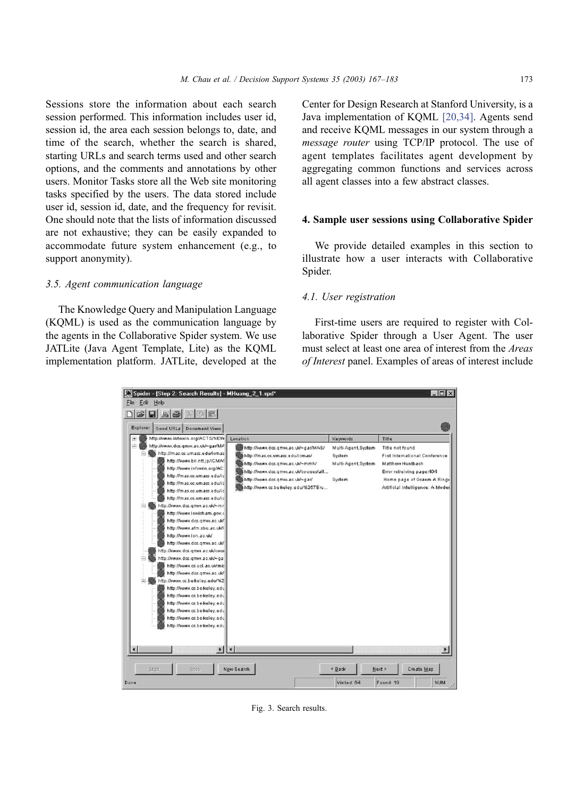<span id="page-6-0"></span>Sessions store the information about each search session performed. This information includes user id, session id, the area each session belongs to, date, and time of the search, whether the search is shared, starting URLs and search terms used and other search options, and the comments and annotations by other users. Monitor Tasks store all the Web site monitoring tasks specified by the users. The data stored include user id, session id, date, and the frequency for revisit. One should note that the lists of information discussed are not exhaustive; they can be easily expanded to accommodate future system enhancement (e.g., to support anonymity).

# 3.5. Agent communication language

The Knowledge Query and Manipulation Language (KQML) is used as the communication language by the agents in the Collaborative Spider system. We use JATLite (Java Agent Template, Lite) as the KQML implementation platform. JATLite, developed at the Center for Design Research at Stanford University, is a Java implementation of KQML [\[20,34\].](#page-15-0) Agents send and receive KQML messages in our system through a message router using TCP/IP protocol. The use of agent templates facilitates agent development by aggregating common functions and services across all agent classes into a few abstract classes.

# 4. Sample user sessions using Collaborative Spider

We provide detailed examples in this section to illustrate how a user interacts with Collaborative Spider.

# 4.1. User registration

First-time users are required to register with Collaborative Spider through a User Agent. The user must select at least one area of interest from the Areas of Interest panel. Examples of areas of interest include

| Spider - [Step 2: Search Results] - MHuang_2_1.spd*                                                                                                                                                                                                                                                                                                                                                                                                                                                                                                                                                                                                                                                                                                                                        |                                                                                                                                                                                                                        |                                                                | $ \Box$ $\times$                                                                                                                                                            |
|--------------------------------------------------------------------------------------------------------------------------------------------------------------------------------------------------------------------------------------------------------------------------------------------------------------------------------------------------------------------------------------------------------------------------------------------------------------------------------------------------------------------------------------------------------------------------------------------------------------------------------------------------------------------------------------------------------------------------------------------------------------------------------------------|------------------------------------------------------------------------------------------------------------------------------------------------------------------------------------------------------------------------|----------------------------------------------------------------|-----------------------------------------------------------------------------------------------------------------------------------------------------------------------------|
| File<br>Edit<br>Help                                                                                                                                                                                                                                                                                                                                                                                                                                                                                                                                                                                                                                                                                                                                                                       |                                                                                                                                                                                                                        |                                                                |                                                                                                                                                                             |
| $\blacksquare$<br>画<br>Explorer<br>Good URLs<br>Document View                                                                                                                                                                                                                                                                                                                                                                                                                                                                                                                                                                                                                                                                                                                              |                                                                                                                                                                                                                        |                                                                |                                                                                                                                                                             |
| http://www.infowin.org/ACTS/NEW<br>$+$                                                                                                                                                                                                                                                                                                                                                                                                                                                                                                                                                                                                                                                                                                                                                     | Location                                                                                                                                                                                                               | Keywords                                                       | Title                                                                                                                                                                       |
| 闩<br>http://www.dcs.gmw.ac.uk/~gar/MA<br>http://mas.cs.umass.edu/icmas<br>http://www.brl.ntt.jp/ICMA1<br>http://www.infowin.org/AC<br>http://mas.cs.umass.edu/ic<br>http://mas.cs.umass.edu/ic<br>http://mas.cs.umass.edu/ic<br>http://mas.cs.umass.edu/ic<br>http://www.dcs.gmw.ac.uk/~mr<br>http://www.lewisham.gov.c<br>http://www.dcs.gmw.ac.uk/<br>http://www.afm.sbu.ac.uk/l<br>http://www.lon.ac.uk/<br>http://www.dcs.gmw.ac.uk/<br>http://www.des.gmw.ac.uk/cour<br>http://www.dcs.gmw.ac.uk/~ga<br>http://www.cs.ucl.ac.uk/mis<br>http://www.des.gmw.ac.uk/<br>http://www.cs.berkeley.edu/%2<br>http://www.cs.berkeley.edu<br>http://www.cs.berkeley.edu<br>http://www.cs.berkeley.edu<br>http://www.cs.berkeley.edu<br>http://www.cs.berkeley.edu<br>http://www.cs.berkeley.edu | http://www.dos.gmw.ac.uk/~gar/MAS/<br>http://mas.cs.umass.edu/icmas/<br>http://www.des.gmw.ac.uk/~mmh/<br>http://www.dos.gmw.ac.uk/courses/all<br>http://www.des.gmw.ac.uk/~gat/<br>http://www.cs.berkelev.edu/%257Eru | Multi-Agent, System<br>System<br>Multi-Agent, System<br>System | Title not found<br><b>First International Conference</b><br>Matthew Huntbach<br>Error retreiving page:404<br>Home page of Graem A Ringu<br>Artificial Intelligence: A Moder |
| 译                                                                                                                                                                                                                                                                                                                                                                                                                                                                                                                                                                                                                                                                                                                                                                                          | $\blacktriangleleft$                                                                                                                                                                                                   |                                                                |                                                                                                                                                                             |
| Stan<br>Stop<br>Done                                                                                                                                                                                                                                                                                                                                                                                                                                                                                                                                                                                                                                                                                                                                                                       | New Search                                                                                                                                                                                                             | < Back<br>Visited: 54                                          | Next ><br>Create Map<br>NUM<br>Found: 10                                                                                                                                    |
|                                                                                                                                                                                                                                                                                                                                                                                                                                                                                                                                                                                                                                                                                                                                                                                            |                                                                                                                                                                                                                        |                                                                |                                                                                                                                                                             |

Fig. 3. Search results.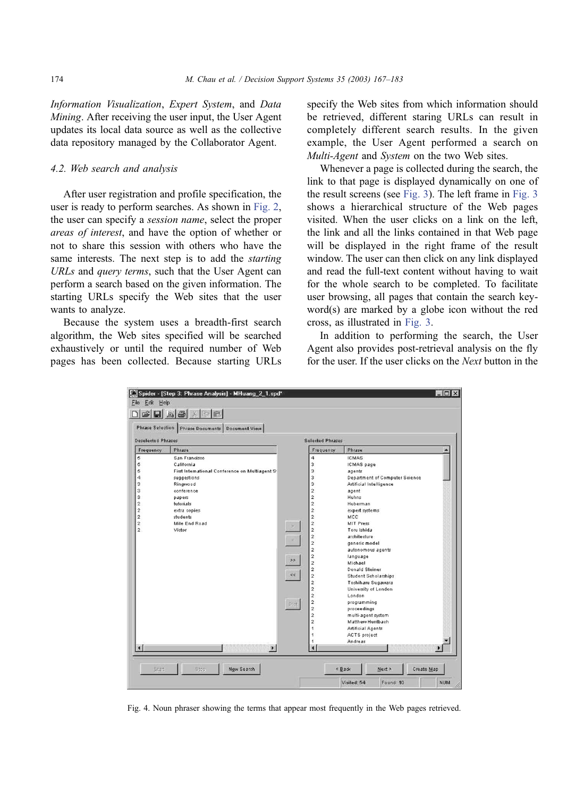<span id="page-7-0"></span>Information Visualization, Expert System, and Data Mining. After receiving the user input, the User Agent updates its local data source as well as the collective data repository managed by the Collaborator Agent.

# 4.2. Web search and analysis

After user registration and profile specification, the user is ready to perform searches. As shown in [Fig. 2,](#page-5-0) the user can specify a session name, select the proper areas of interest, and have the option of whether or not to share this session with others who have the same interests. The next step is to add the starting URLs and *query terms*, such that the User Agent can perform a search based on the given information. The starting URLs specify the Web sites that the user wants to analyze.

Because the system uses a breadth-first search algorithm, the Web sites specified will be searched exhaustively or until the required number of Web pages has been collected. Because starting URLs specify the Web sites from which information should be retrieved, different staring URLs can result in completely different search results. In the given example, the User Agent performed a search on Multi-Agent and System on the two Web sites.

Whenever a page is collected during the search, the link to that page is displayed dynamically on one of the result screens (see [Fig. 3\)](#page-6-0). The left frame in [Fig. 3](#page-6-0) shows a hierarchical structure of the Web pages visited. When the user clicks on a link on the left, the link and all the links contained in that Web page will be displayed in the right frame of the result window. The user can then click on any link displayed and read the full-text content without having to wait for the whole search to be completed. To facilitate user browsing, all pages that contain the search keyword(s) are marked by a globe icon without the red cross, as illustrated in [Fig. 3.](#page-6-0)

In addition to performing the search, the User Agent also provides post-retrieval analysis on the fly for the user. If the user clicks on the Next button in the



Fig. 4. Noun phraser showing the terms that appear most frequently in the Web pages retrieved.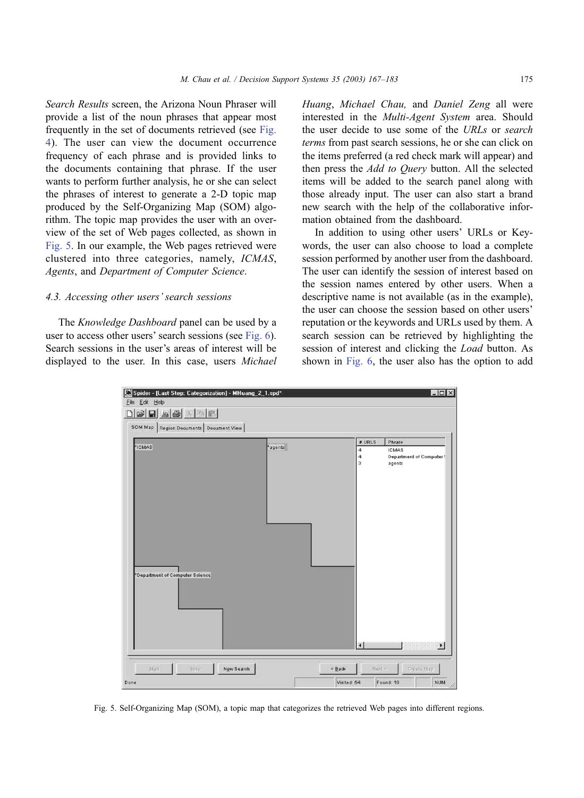Search Results screen, the Arizona Noun Phraser will provide a list of the noun phrases that appear most frequently in the set of documents retrieved (see [Fig.](#page-7-0) 4). The user can view the document occurrence frequency of each phrase and is provided links to the documents containing that phrase. If the user wants to perform further analysis, he or she can select the phrases of interest to generate a 2-D topic map produced by the Self-Organizing Map (SOM) algorithm. The topic map provides the user with an overview of the set of Web pages collected, as shown in Fig. 5. In our example, the Web pages retrieved were clustered into three categories, namely, ICMAS, Agents, and Department of Computer Science.

#### 4.3. Accessing other users' search sessions

The Knowledge Dashboard panel can be used by a user to access other users' search sessions (see [Fig. 6\)](#page-9-0). Search sessions in the user's areas of interest will be displayed to the user. In this case, users Michael Huang, Michael Chau, and Daniel Zeng all were interested in the Multi-Agent System area. Should the user decide to use some of the URLs or search terms from past search sessions, he or she can click on the items preferred (a red check mark will appear) and then press the Add to Query button. All the selected items will be added to the search panel along with those already input. The user can also start a brand new search with the help of the collaborative information obtained from the dashboard.

In addition to using other users' URLs or Keywords, the user can also choose to load a complete session performed by another user from the dashboard. The user can identify the session of interest based on the session names entered by other users. When a descriptive name is not available (as in the example), the user can choose the session based on other users' reputation or the keywords and URLs used by them. A search session can be retrieved by highlighting the session of interest and clicking the Load button. As shown in [Fig. 6,](#page-9-0) the user also has the option to add



Fig. 5. Self-Organizing Map (SOM), a topic map that categorizes the retrieved Web pages into different regions.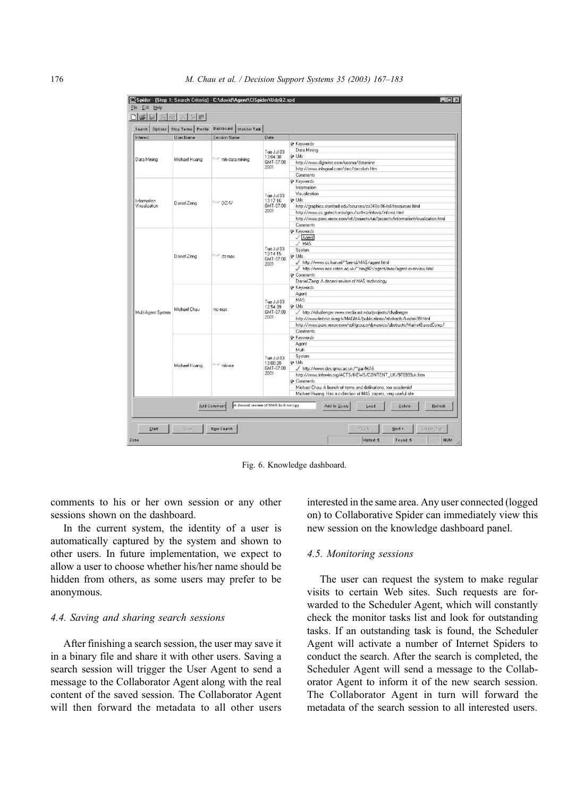<span id="page-9-0"></span>

| <b>Options</b><br>Search     | Stop Terms Profile | Dashboard<br>Monitor Task |                                   |                                                                                                                                                 |
|------------------------------|--------------------|---------------------------|-----------------------------------|-------------------------------------------------------------------------------------------------------------------------------------------------|
| Interest                     | <b>User Name</b>   | <b>Session Name</b>       | Date                              |                                                                                                                                                 |
|                              |                    |                           |                                   | <b>E</b> Keuwords                                                                                                                               |
|                              |                    |                           | Tue Jul 03                        | Data Mining                                                                                                                                     |
| Data Mining                  | Michael Huang      | ment mh-data-mining       | 13:04:38                          | Urls                                                                                                                                            |
|                              |                    |                           | GMT-07:00<br>2001                 | http://www.digimine.com/usama/datamine                                                                                                          |
|                              |                    |                           |                                   | http://www.infogoal.com/dmc/dmcdwh.htm                                                                                                          |
|                              |                    |                           |                                   | Comments                                                                                                                                        |
|                              |                    |                           |                                   | <b>E-Kevwords</b>                                                                                                                               |
|                              |                    |                           |                                   | Information                                                                                                                                     |
|                              |                    |                           | Tue Jul 83                        | Visualization                                                                                                                                   |
| Information<br>Visualization | Daniel Zeng        | them DZ-IV                | 13:17:16<br>GMT-07:00             | <b>Urls</b>                                                                                                                                     |
|                              |                    |                           | 2001                              | http://graphics.stanford.edu/courses/cs348c-96-fall/resources.html                                                                              |
|                              |                    |                           |                                   | http://www.cc.gatech.edu/gyu/softviz/infoviz/infoviz.html<br>http://www.parc.xerox.com/istl/projects/uir/projects/InformationVisualization.html |
|                              |                    |                           |                                   | Comments                                                                                                                                        |
|                              |                    |                           |                                   | <b>E-Kevwords</b>                                                                                                                               |
|                              |                    |                           |                                   | $\sqrt{$ Agent                                                                                                                                  |
|                              |                    |                           |                                   | $J$ MAS                                                                                                                                         |
|                              |                    |                           | Tue Jul 03                        | Sustem                                                                                                                                          |
|                              | Daniel Zeng        | list dz-mas               | 13:14:15                          | + Urls                                                                                                                                          |
|                              |                    |                           | GMT-07:00<br>2001                 | / http://www.cs.kun.nl/"bernd/MAS/agent.html                                                                                                    |
|                              |                    |                           |                                   | / http://www.ecs.soton.ac.uk/"nmg97r/agent/mas/agent-overview.html                                                                              |
|                              |                    |                           |                                   | <b>Comments</b>                                                                                                                                 |
|                              |                    |                           |                                   | Daniel Zeng: A decent review of MAS technology                                                                                                  |
|                              |                    |                           |                                   | <b>E</b> Keuwords                                                                                                                               |
|                              |                    |                           |                                   | Agent                                                                                                                                           |
|                              | Michael Chau       |                           | Tue Jul 03                        | MAS                                                                                                                                             |
|                              |                    | mc-mas                    | 12:54:39                          | <b>Urls</b>                                                                                                                                     |
| Multi Agent System           |                    |                           | GMT-07:00<br>2001                 | / http://challenger.www.media.mit.edu/projects/challenger                                                                                       |
|                              |                    |                           |                                   | http://www-leibniz.imag.fr/MAGMA/publications/abstracts/kozlak99.html                                                                           |
|                              |                    |                           |                                   | http://www.parc.xerox.com/spl/groups/dynamics/abstracts/MarketBasedComp/                                                                        |
|                              |                    |                           |                                   | Comments                                                                                                                                        |
|                              |                    |                           |                                   | <b>E</b> Keywords                                                                                                                               |
|                              |                    |                           |                                   | Agent                                                                                                                                           |
|                              |                    |                           |                                   | Multi<br>System                                                                                                                                 |
|                              |                    |                           | Tue Jul 03<br>13:00:20            | u Urls                                                                                                                                          |
|                              | Michael Huang      | treat mh-ma               | GMT-07:00                         | / http://www.dcs.gmw.ac.uk/~gar/MAS                                                                                                             |
|                              |                    |                           | 2001                              | http://www.infowin.org/ACTS/NEWS/CONTENT_UK/970999uk.htm                                                                                        |
|                              |                    |                           |                                   | <b>I</b> - Comments                                                                                                                             |
|                              |                    |                           |                                   | Michael Chau: A bunch of terms and definations, too academic!                                                                                   |
|                              |                    |                           |                                   | Michael Huang: Has a collection of MAS papers, very useful site                                                                                 |
|                              |                    |                           |                                   |                                                                                                                                                 |
|                              |                    | <b>Add Comment</b>        | A decent review of MAS technology | Add to Query<br>Delete<br><b>Refresh</b><br>Load                                                                                                |
|                              |                    |                           |                                   |                                                                                                                                                 |

Fig. 6. Knowledge dashboard.

comments to his or her own session or any other sessions shown on the dashboard.

In the current system, the identity of a user is automatically captured by the system and shown to other users. In future implementation, we expect to allow a user to choose whether his/her name should be hidden from others, as some users may prefer to be anonymous.

## 4.4. Saving and sharing search sessions

After finishing a search session, the user may save it in a binary file and share it with other users. Saving a search session will trigger the User Agent to send a message to the Collaborator Agent along with the real content of the saved session. The Collaborator Agent will then forward the metadata to all other users interested in the same area. Any user connected (logged on) to Collaborative Spider can immediately view this new session on the knowledge dashboard panel.

# 4.5. Monitoring sessions

The user can request the system to make regular visits to certain Web sites. Such requests are forwarded to the Scheduler Agent, which will constantly check the monitor tasks list and look for outstanding tasks. If an outstanding task is found, the Scheduler Agent will activate a number of Internet Spiders to conduct the search. After the search is completed, the Scheduler Agent will send a message to the Collaborator Agent to inform it of the new search session. The Collaborator Agent in turn will forward the metadata of the search session to all interested users.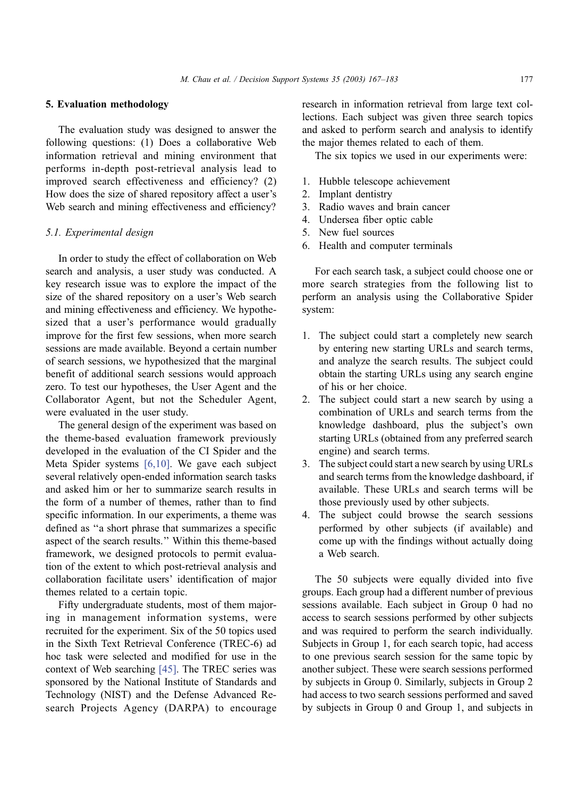# 5. Evaluation methodology

The evaluation study was designed to answer the following questions: (1) Does a collaborative Web information retrieval and mining environment that performs in-depth post-retrieval analysis lead to improved search effectiveness and efficiency? (2) How does the size of shared repository affect a user's Web search and mining effectiveness and efficiency?

# 5.1. Experimental design

In order to study the effect of collaboration on Web search and analysis, a user study was conducted. A key research issue was to explore the impact of the size of the shared repository on a user's Web search and mining effectiveness and efficiency. We hypothesized that a user's performance would gradually improve for the first few sessions, when more search sessions are made available. Beyond a certain number of search sessions, we hypothesized that the marginal benefit of additional search sessions would approach zero. To test our hypotheses, the User Agent and the Collaborator Agent, but not the Scheduler Agent, were evaluated in the user study.

The general design of the experiment was based on the theme-based evaluation framework previously developed in the evaluation of the CI Spider and the Meta Spider systems [\[6,10\].](#page-15-0) We gave each subject several relatively open-ended information search tasks and asked him or her to summarize search results in the form of a number of themes, rather than to find specific information. In our experiments, a theme was defined as ''a short phrase that summarizes a specific aspect of the search results.'' Within this theme-based framework, we designed protocols to permit evaluation of the extent to which post-retrieval analysis and collaboration facilitate users' identification of major themes related to a certain topic.

Fifty undergraduate students, most of them majoring in management information systems, were recruited for the experiment. Six of the 50 topics used in the Sixth Text Retrieval Conference (TREC-6) ad hoc task were selected and modified for use in the context of Web searching [\[45\].](#page-16-0) The TREC series was sponsored by the National Institute of Standards and Technology (NIST) and the Defense Advanced Research Projects Agency (DARPA) to encourage research in information retrieval from large text collections. Each subject was given three search topics and asked to perform search and analysis to identify the major themes related to each of them.

The six topics we used in our experiments were:

- 1. Hubble telescope achievement
- 2. Implant dentistry
- 3. Radio waves and brain cancer
- 4. Undersea fiber optic cable
- 5. New fuel sources
- 6. Health and computer terminals

For each search task, a subject could choose one or more search strategies from the following list to perform an analysis using the Collaborative Spider system:

- 1. The subject could start a completely new search by entering new starting URLs and search terms, and analyze the search results. The subject could obtain the starting URLs using any search engine of his or her choice.
- 2. The subject could start a new search by using a combination of URLs and search terms from the knowledge dashboard, plus the subject's own starting URLs (obtained from any preferred search engine) and search terms.
- 3. The subject could start a new search by using URLs and search terms from the knowledge dashboard, if available. These URLs and search terms will be those previously used by other subjects.
- 4. The subject could browse the search sessions performed by other subjects (if available) and come up with the findings without actually doing a Web search.

The 50 subjects were equally divided into five groups. Each group had a different number of previous sessions available. Each subject in Group 0 had no access to search sessions performed by other subjects and was required to perform the search individually. Subjects in Group 1, for each search topic, had access to one previous search session for the same topic by another subject. These were search sessions performed by subjects in Group 0. Similarly, subjects in Group 2 had access to two search sessions performed and saved by subjects in Group 0 and Group 1, and subjects in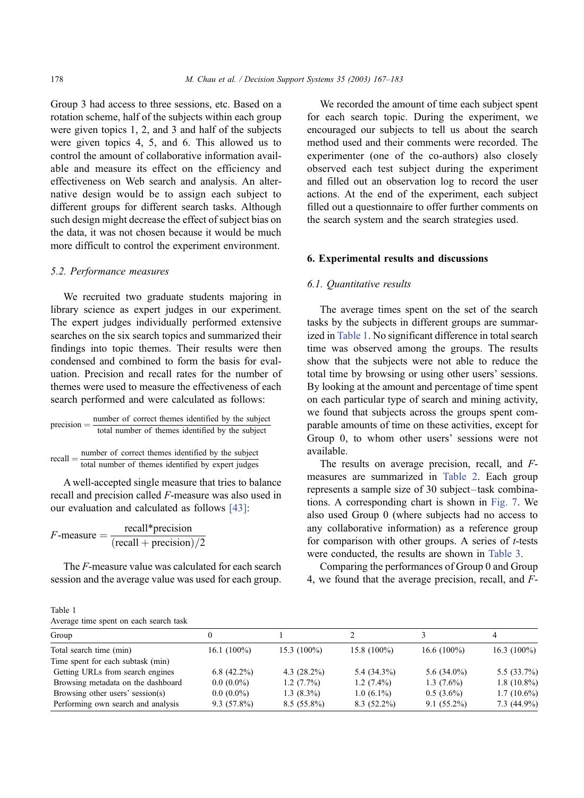Group 3 had access to three sessions, etc. Based on a rotation scheme, half of the subjects within each group were given topics 1, 2, and 3 and half of the subjects were given topics 4, 5, and 6. This allowed us to control the amount of collaborative information available and measure its effect on the efficiency and effectiveness on Web search and analysis. An alternative design would be to assign each subject to different groups for different search tasks. Although such design might decrease the effect of subject bias on the data, it was not chosen because it would be much more difficult to control the experiment environment.

# 5.2. Performance measures

We recruited two graduate students majoring in library science as expert judges in our experiment. The expert judges individually performed extensive searches on the six search topics and summarized their findings into topic themes. Their results were then condensed and combined to form the basis for evaluation. Precision and recall rates for the number of themes were used to measure the effectiveness of each search performed and were calculated as follows:

\n
$$
precision = \frac{number \ of \ correct \ themes \ identified \ by \ the \ subject \ total \ number \ of \ themes \ identified \ by \ the \ subject \ recall = \frac{number \ of \ correct \ themes \ identified \ by \ the \ subject \ total \ number \ of \ themes \ identified \ by \ expert \ judges}\n
$$
\n

A well-accepted single measure that tries to balance recall and precision called F-measure was also used in our evaluation and calculated as follows [\[43\]:](#page-16-0)

$$
F\text{-measure} = \frac{\text{recall*precision}}{(\text{recall} + \text{precision})/2}
$$

The F-measure value was calculated for each search session and the average value was used for each group.

Table 1 Average time spent on each search task

We recorded the amount of time each subject spent for each search topic. During the experiment, we encouraged our subjects to tell us about the search method used and their comments were recorded. The experimenter (one of the co-authors) also closely observed each test subject during the experiment and filled out an observation log to record the user actions. At the end of the experiment, each subject filled out a questionnaire to offer further comments on the search system and the search strategies used.

## 6. Experimental results and discussions

## 6.1. Quantitative results

The average times spent on the set of the search tasks by the subjects in different groups are summarized in Table 1. No significant difference in total search time was observed among the groups. The results show that the subjects were not able to reduce the total time by browsing or using other users' sessions. By looking at the amount and percentage of time spent on each particular type of search and mining activity, we found that subjects across the groups spent comparable amounts of time on these activities, except for Group 0, to whom other users' sessions were not available.

The results on average precision, recall, and Fmeasures are summarized in [Table 2.](#page-12-0) Each group represents a sample size of 30 subject–task combinations. A corresponding chart is shown in [Fig. 7.](#page-12-0) We also used Group 0 (where subjects had no access to any collaborative information) as a reference group for comparison with other groups. A series of  $t$ -tests were conducted, the results are shown in [Table 3.](#page-12-0)

Comparing the performances of Group 0 and Group 4, we found that the average precision, recall, and  $F-$ 

| Group                              | $\theta$      |                |                |                | 4              |
|------------------------------------|---------------|----------------|----------------|----------------|----------------|
| Total search time (min)            | $16.1(100\%)$ | $15.3(100\%)$  | $15.8(100\%)$  | $16.6(100\%)$  | $16.3(100\%)$  |
| Time spent for each subtask (min)  |               |                |                |                |                |
| Getting URLs from search engines   | $6.8(42.2\%)$ | 4.3 $(28.2\%)$ | 5.4 $(34.3\%)$ | 5.6 $(34.0\%)$ | 5.5 $(33.7\%)$ |
| Browsing metadata on the dashboard | $0.0(0.0\%)$  | $1.2(7.7\%)$   | $1.2(7.4\%)$   | $1.3(7.6\%)$   | $1.8(10.8\%)$  |
| Browsing other users' session(s)   | $0.0(0.0\%)$  | $1.3(8.3\%)$   | $1.0(6.1\%)$   | $0.5(3.6\%)$   | $1.7(10.6\%)$  |
| Performing own search and analysis | $9.3(57.8\%)$ | $8.5(55.8\%)$  | $8.3(52.2\%)$  | $9.1(55.2\%)$  | $7.3(44.9\%)$  |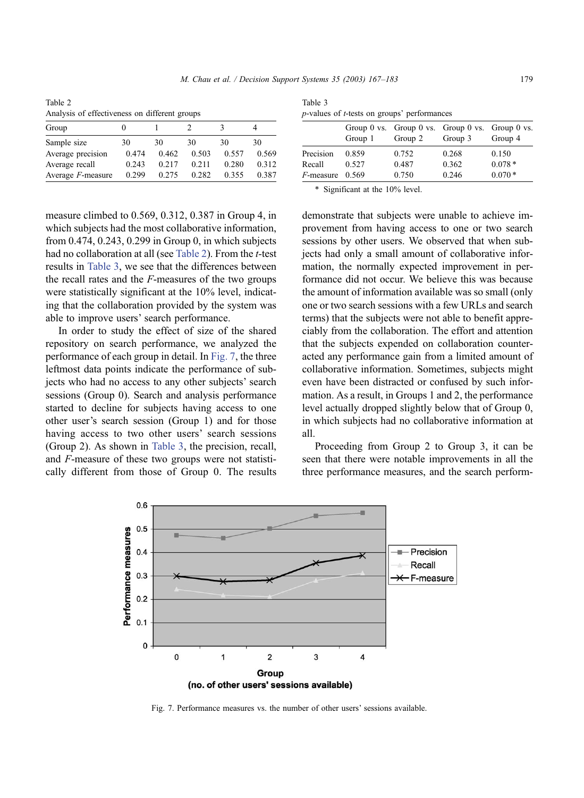<span id="page-12-0"></span>Table 2 Analysis of effectiveness on different groups

| Group                |       |       |       |       |       |
|----------------------|-------|-------|-------|-------|-------|
| Sample size          | 30    | 30    | 30    | 30    | 30    |
| Average precision    | 0.474 | 0.462 | 0.503 | 0.557 | 0.569 |
| Average recall       | 0.243 | 0.217 | 0.211 | 0.280 | 0.312 |
| Average $F$ -measure | 0.299 | 0.275 | 0.282 | 0.355 | 0.387 |

Table 3 p-values of t-tests on groups' performances

|                   | Group 1 | Group 2 | Group 0 vs. Group 0 vs. Group 0 vs. Group 0 vs.<br>Group 3 | Group 4  |
|-------------------|---------|---------|------------------------------------------------------------|----------|
| Precision         | 0.859   | 0.752   | 0.268                                                      | 0.150    |
| Recall            | 0.527   | 0.487   | 0.362                                                      | $0.078*$ |
| <i>F</i> -measure | 0.569   | 0.750   | 0.246                                                      | $0.070*$ |
|                   |         |         |                                                            |          |

Significant at the 10% level.

measure climbed to 0.569, 0.312, 0.387 in Group 4, in which subjects had the most collaborative information, from 0.474, 0.243, 0.299 in Group 0, in which subjects had no collaboration at all (see Table 2). From the *t*-test results in Table 3, we see that the differences between the recall rates and the F-measures of the two groups were statistically significant at the 10% level, indicating that the collaboration provided by the system was able to improve users' search performance.

In order to study the effect of size of the shared repository on search performance, we analyzed the performance of each group in detail. In Fig. 7, the three leftmost data points indicate the performance of subjects who had no access to any other subjects' search sessions (Group 0). Search and analysis performance started to decline for subjects having access to one other user's search session (Group 1) and for those having access to two other users' search sessions (Group 2). As shown in Table 3, the precision, recall, and F-measure of these two groups were not statistically different from those of Group 0. The results demonstrate that subjects were unable to achieve improvement from having access to one or two search sessions by other users. We observed that when subjects had only a small amount of collaborative information, the normally expected improvement in performance did not occur. We believe this was because the amount of information available was so small (only one or two search sessions with a few URLs and search terms) that the subjects were not able to benefit appreciably from the collaboration. The effort and attention that the subjects expended on collaboration counteracted any performance gain from a limited amount of collaborative information. Sometimes, subjects might even have been distracted or confused by such information. As a result, in Groups 1 and 2, the performance level actually dropped slightly below that of Group 0, in which subjects had no collaborative information at all.

Proceeding from Group 2 to Group 3, it can be seen that there were notable improvements in all the three performance measures, and the search perform-



Fig. 7. Performance measures vs. the number of other users' sessions available.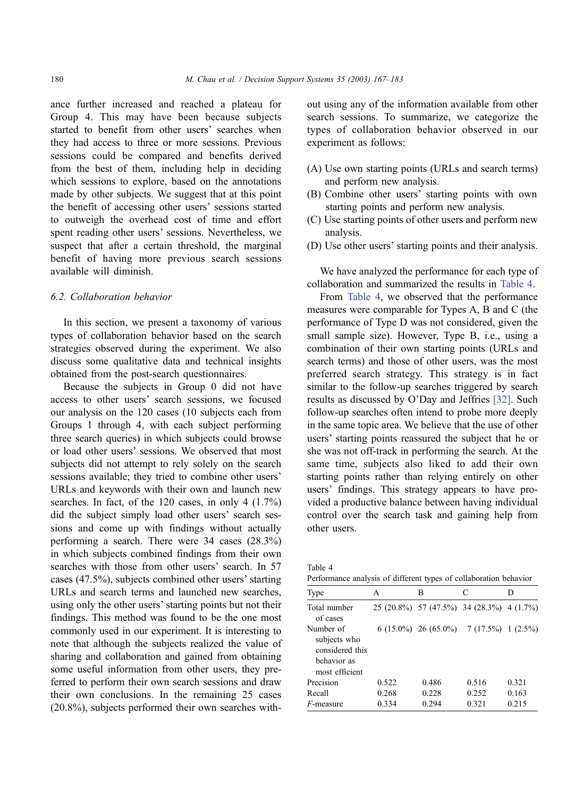ance further increased and reached a plateau for Group 4. This may have been because subjects started to benefit from other users' searches when they had access to three or more sessions. Previous sessions could be compared and benefits derived from the best of them, including help in deciding which sessions to explore, based on the annotations made by other subjects. We suggest that at this point the benefit of accessing other users' sessions started to outweigh the overhead cost of time and effort spent reading other users' sessions. Nevertheless, we suspect that after a certain threshold, the marginal benefit of having more previous search sessions available will diminish.

#### 6.2. Collaboration behavior

In this section, we present a taxonomy of various types of collaboration behavior based on the search strategies observed during the experiment. We also discuss some qualitative data and technical insights obtained from the post-search questionnaires.

Because the subjects in Group 0 did not have access to other users' search sessions, we focused our analysis on the 120 cases (10 subjects each from Groups 1 through 4, with each subject performing three search queries) in which subjects could browse or load other users' sessions. We observed that most subjects did not attempt to rely solely on the search sessions available; they tried to combine other users' URLs and keywords with their own and launch new searches. In fact, of the 120 cases, in only 4 (1.7%) did the subject simply load other users' search sessions and come up with findings without actually performing a search. There were 34 cases (28.3%) in which subjects combined findings from their own searches with those from other users' search. In 57 cases (47.5%), subjects combined other users' starting URLs and search terms and launched new searches, using only the other users' starting points but not their findings. This method was found to be the one most commonly used in our experiment. It is interesting to note that although the subjects realized the value of sharing and collaboration and gained from obtaining some useful information from other users, they preferred to perform their own search sessions and draw their own conclusions. In the remaining 25 cases (20.8%), subjects performed their own searches without using any of the information available from other search sessions. To summarize, we categorize the types of collaboration behavior observed in our experiment as follows:

- (A) Use own starting points (URLs and search terms) and perform new analysis.
- (B) Combine other users' starting points with own starting points and perform new analysis.
- (C) Use starting points of other users and perform new analysis.
- (D) Use other users' starting points and their analysis.

We have analyzed the performance for each type of collaboration and summarized the results in Table 4.

From Table 4, we observed that the performance measures were comparable for Types A, B and C (the performance of Type D was not considered, given the small sample size). However, Type B, i.e., using a combination of their own starting points (URLs and search terms) and those of other users, was the most preferred search strategy. This strategy is in fact similar to the follow-up searches triggered by search results as discussed by O'Day and Jeffries [\[32\].](#page-15-0) Such follow-up searches often intend to probe more deeply in the same topic area. We believe that the use of other users' starting points reassured the subject that he or she was not off-track in performing the search. At the same time, subjects also liked to add their own starting points rather than relying entirely on other users' findings. This strategy appears to have provided a productive balance between having individual control over the search task and gaining help from other users.

| I<br>×<br>× |  |
|-------------|--|
|-------------|--|

| Performance analysis of different types of collaboration behavior |  |
|-------------------------------------------------------------------|--|
|-------------------------------------------------------------------|--|

| Type                            | А     | в     | C                                                  | D     |
|---------------------------------|-------|-------|----------------------------------------------------|-------|
| Total number<br>of cases        |       |       | 25 (20.8%) 57 (47.5%) 34 (28.3%) 4 (1.7%)          |       |
| Number of                       |       |       | $6(15.0\%)$ 26 $(65.0\%)$ 7 $(17.5\%)$ 1 $(2.5\%)$ |       |
| subjects who<br>considered this |       |       |                                                    |       |
| behavior as                     |       |       |                                                    |       |
| most efficient                  |       |       |                                                    |       |
| Precision                       | 0.522 | 0.486 | 0.516                                              | 0.321 |
| Recall                          | 0.268 | 0.228 | 0.252                                              | 0.163 |
| $F$ -measure                    | 0.334 | 0.294 | 0.321                                              | 0.215 |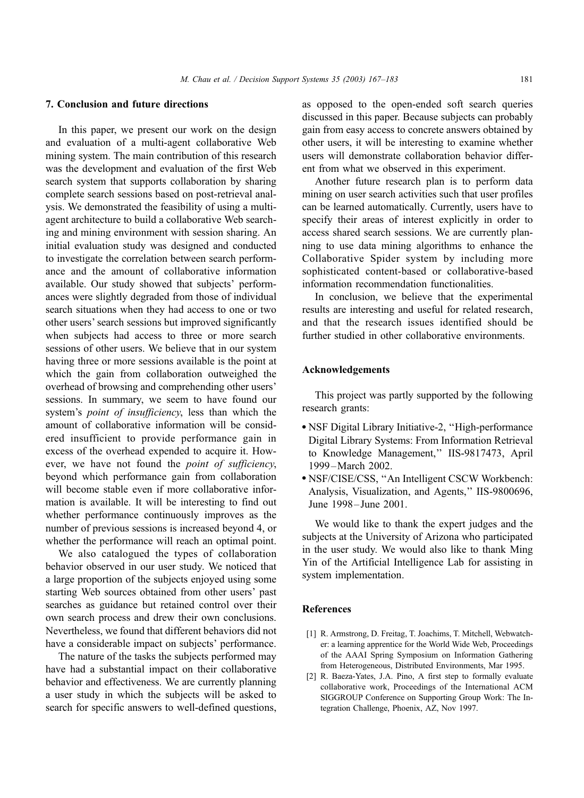# <span id="page-14-0"></span>7. Conclusion and future directions

In this paper, we present our work on the design and evaluation of a multi-agent collaborative Web mining system. The main contribution of this research was the development and evaluation of the first Web search system that supports collaboration by sharing complete search sessions based on post-retrieval analysis. We demonstrated the feasibility of using a multiagent architecture to build a collaborative Web searching and mining environment with session sharing. An initial evaluation study was designed and conducted to investigate the correlation between search performance and the amount of collaborative information available. Our study showed that subjects' performances were slightly degraded from those of individual search situations when they had access to one or two other users' search sessions but improved significantly when subjects had access to three or more search sessions of other users. We believe that in our system having three or more sessions available is the point at which the gain from collaboration outweighed the overhead of browsing and comprehending other users' sessions. In summary, we seem to have found our system's *point of insufficiency*, less than which the amount of collaborative information will be considered insufficient to provide performance gain in excess of the overhead expended to acquire it. However, we have not found the point of sufficiency, beyond which performance gain from collaboration will become stable even if more collaborative information is available. It will be interesting to find out whether performance continuously improves as the number of previous sessions is increased beyond 4, or whether the performance will reach an optimal point.

We also catalogued the types of collaboration behavior observed in our user study. We noticed that a large proportion of the subjects enjoyed using some starting Web sources obtained from other users' past searches as guidance but retained control over their own search process and drew their own conclusions. Nevertheless, we found that different behaviors did not have a considerable impact on subjects' performance.

The nature of the tasks the subjects performed may have had a substantial impact on their collaborative behavior and effectiveness. We are currently planning a user study in which the subjects will be asked to search for specific answers to well-defined questions,

as opposed to the open-ended soft search queries discussed in this paper. Because subjects can probably gain from easy access to concrete answers obtained by other users, it will be interesting to examine whether users will demonstrate collaboration behavior different from what we observed in this experiment.

Another future research plan is to perform data mining on user search activities such that user profiles can be learned automatically. Currently, users have to specify their areas of interest explicitly in order to access shared search sessions. We are currently planning to use data mining algorithms to enhance the Collaborative Spider system by including more sophisticated content-based or collaborative-based information recommendation functionalities.

In conclusion, we believe that the experimental results are interesting and useful for related research, and that the research issues identified should be further studied in other collaborative environments.

## Acknowledgements

This project was partly supported by the following research grants:

- . NSF Digital Library Initiative-2, ''High-performance Digital Library Systems: From Information Retrieval to Knowledge Management,'' IIS-9817473, April 1999 –March 2002.
- . NSF/CISE/CSS, ''An Intelligent CSCW Workbench: Analysis, Visualization, and Agents,'' IIS-9800696, June 1998– June 2001.

We would like to thank the expert judges and the subjects at the University of Arizona who participated in the user study. We would also like to thank Ming Yin of the Artificial Intelligence Lab for assisting in system implementation.

# References

- [1] R. Armstrong, D. Freitag, T. Joachims, T. Mitchell, Webwatcher: a learning apprentice for the World Wide Web, Proceedings of the AAAI Spring Symposium on Information Gathering from Heterogeneous, Distributed Environments, Mar 1995.
- [2] R. Baeza-Yates, J.A. Pino, A first step to formally evaluate collaborative work, Proceedings of the International ACM SIGGROUP Conference on Supporting Group Work: The Integration Challenge, Phoenix, AZ, Nov 1997.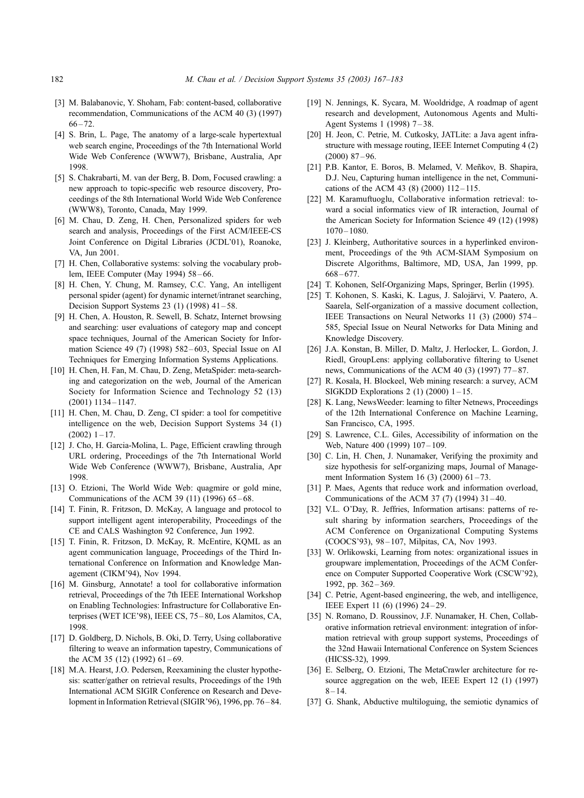- [3] M. Balabanovic, Y. Shoham, Fab: content-based, collaborative recommendation, Communications of the ACM 40 (3) (1997)  $66 - 72.$
- [4] S. Brin, L. Page, The anatomy of a large-scale hypertextual web search engine, Proceedings of the 7th International World Wide Web Conference (WWW7), Brisbane, Australia, Apr 1998.
- [5] S. Chakrabarti, M. van der Berg, B. Dom, Focused crawling: a new approach to topic-specific web resource discovery, Proceedings of the 8th International World Wide Web Conference (WWW8), Toronto, Canada, May 1999.
- [6] M. Chau, D. Zeng, H. Chen, Personalized spiders for web search and analysis, Proceedings of the First ACM/IEEE-CS Joint Conference on Digital Libraries (JCDL'01), Roanoke, VA, Jun 2001.
- [7] H. Chen, Collaborative systems: solving the vocabulary problem, IEEE Computer (May 1994) 58 – 66.
- [8] H. Chen, Y. Chung, M. Ramsey, C.C. Yang, An intelligent personal spider (agent) for dynamic internet/intranet searching, Decision Support Systems 23 (1) (1998) 41-58.
- [9] H. Chen, A. Houston, R. Sewell, B. Schatz, Internet browsing and searching: user evaluations of category map and concept space techniques, Journal of the American Society for Information Science 49 (7) (1998) 582 – 603, Special Issue on AI Techniques for Emerging Information Systems Applications.
- [10] H. Chen, H. Fan, M. Chau, D. Zeng, MetaSpider: meta-searching and categorization on the web, Journal of the American Society for Information Science and Technology 52 (13) (2001) 1134 – 1147.
- [11] H. Chen, M. Chau, D. Zeng, CI spider: a tool for competitive intelligence on the web, Decision Support Systems 34 (1)  $(2002)$  1 – 17.
- [12] J. Cho, H. Garcia-Molina, L. Page, Efficient crawling through URL ordering, Proceedings of the 7th International World Wide Web Conference (WWW7), Brisbane, Australia, Apr 1998.
- [13] O. Etzioni, The World Wide Web: quagmire or gold mine, Communications of the ACM 39 (11) (1996) 65 – 68.
- [14] T. Finin, R. Fritzson, D. McKay, A language and protocol to support intelligent agent interoperability, Proceedings of the CE and CALS Washington 92 Conference, Jun 1992.
- [15] T. Finin, R. Fritzson, D. McKay, R. McEntire, KQML as an agent communication language, Proceedings of the Third International Conference on Information and Knowledge Management (CIKM'94), Nov 1994.
- [16] M. Ginsburg, Annotate! a tool for collaborative information retrieval, Proceedings of the 7th IEEE International Workshop on Enabling Technologies: Infrastructure for Collaborative Enterprises (WET ICE'98), IEEE CS, 75 – 80, Los Alamitos, CA, 1998.
- [17] D. Goldberg, D. Nichols, B. Oki, D. Terry, Using collaborative filtering to weave an information tapestry, Communications of the ACM 35 (12) (1992) 61-69.
- [18] M.A. Hearst, J.O. Pedersen, Reexamining the cluster hypothesis: scatter/gather on retrieval results, Proceedings of the 19th International ACM SIGIR Conference on Research and Development in Information Retrieval (SIGIR'96), 1996, pp. 76 – 84.
- [19] N. Jennings, K. Sycara, M. Wooldridge, A roadmap of agent research and development, Autonomous Agents and Multi-Agent Systems 1 (1998) 7 – 38.
- [20] H. Jeon, C. Petrie, M. Cutkosky, JATLite: a Java agent infrastructure with message routing, IEEE Internet Computing 4 (2)  $(2000)$  87-96.
- [21] P.B. Kantor, E. Boros, B. Melamed, V. Meñkov, B. Shapira, D.J. Neu, Capturing human intelligence in the net, Communications of the ACM 43 (8) (2000)  $112 - 115$ .
- [22] M. Karamuftuoglu, Collaborative information retrieval: toward a social informatics view of IR interaction, Journal of the American Society for Information Science 49 (12) (1998)  $1070 - 1080$ .
- [23] J. Kleinberg, Authoritative sources in a hyperlinked environment, Proceedings of the 9th ACM-SIAM Symposium on Discrete Algorithms, Baltimore, MD, USA, Jan 1999, pp. 668 – 677.
- [24] T. Kohonen, Self-Organizing Maps, Springer, Berlin (1995).
- [25] T. Kohonen, S. Kaski, K. Lagus, J. Salojärvi, V. Paatero, A. Saarela, Self-organization of a massive document collection, IEEE Transactions on Neural Networks 11 (3) (2000) 574 – 585, Special Issue on Neural Networks for Data Mining and Knowledge Discovery.
- [26] J.A. Konstan, B. Miller, D. Maltz, J. Herlocker, L. Gordon, J. Riedl, GroupLens: applying collaborative filtering to Usenet news, Communications of the ACM 40  $(3)$  (1997) 77–87.
- [27] R. Kosala, H. Blockeel, Web mining research: a survey, ACM SIGKDD Explorations  $2(1)(2000)$  1-15.
- [28] K. Lang, NewsWeeder: learning to filter Netnews, Proceedings of the 12th International Conference on Machine Learning, San Francisco, CA, 1995.
- [29] S. Lawrence, C.L. Giles, Accessibility of information on the Web, Nature 400 (1999) 107-109.
- [30] C. Lin, H. Chen, J. Nunamaker, Verifying the proximity and size hypothesis for self-organizing maps, Journal of Management Information System 16 (3) (2000) 61 – 73.
- [31] P. Maes, Agents that reduce work and information overload, Communications of the ACM 37 (7) (1994)  $31-40$ .
- [32] V.L. O'Day, R. Jeffries, Information artisans: patterns of result sharing by information searchers, Proceedings of the ACM Conference on Organizational Computing Systems (COOCS'93), 98 – 107, Milpitas, CA, Nov 1993.
- [33] W. Orlikowski, Learning from notes: organizational issues in groupware implementation, Proceedings of the ACM Conference on Computer Supported Cooperative Work (CSCW'92), 1992, pp. 362 – 369.
- [34] C. Petrie, Agent-based engineering, the web, and intelligence, IEEE Expert 11 (6) (1996) 24 – 29.
- [35] N. Romano, D. Roussinov, J.F. Nunamaker, H. Chen, Collaborative information retrieval environment: integration of information retrieval with group support systems, Proceedings of the 32nd Hawaii International Conference on System Sciences (HICSS-32), 1999.
- [36] E. Selberg, O. Etzioni, The MetaCrawler architecture for resource aggregation on the web, IEEE Expert 12 (1) (1997)  $8 - 14.$
- [37] G. Shank, Abductive multiloguing, the semiotic dynamics of

<span id="page-15-0"></span>